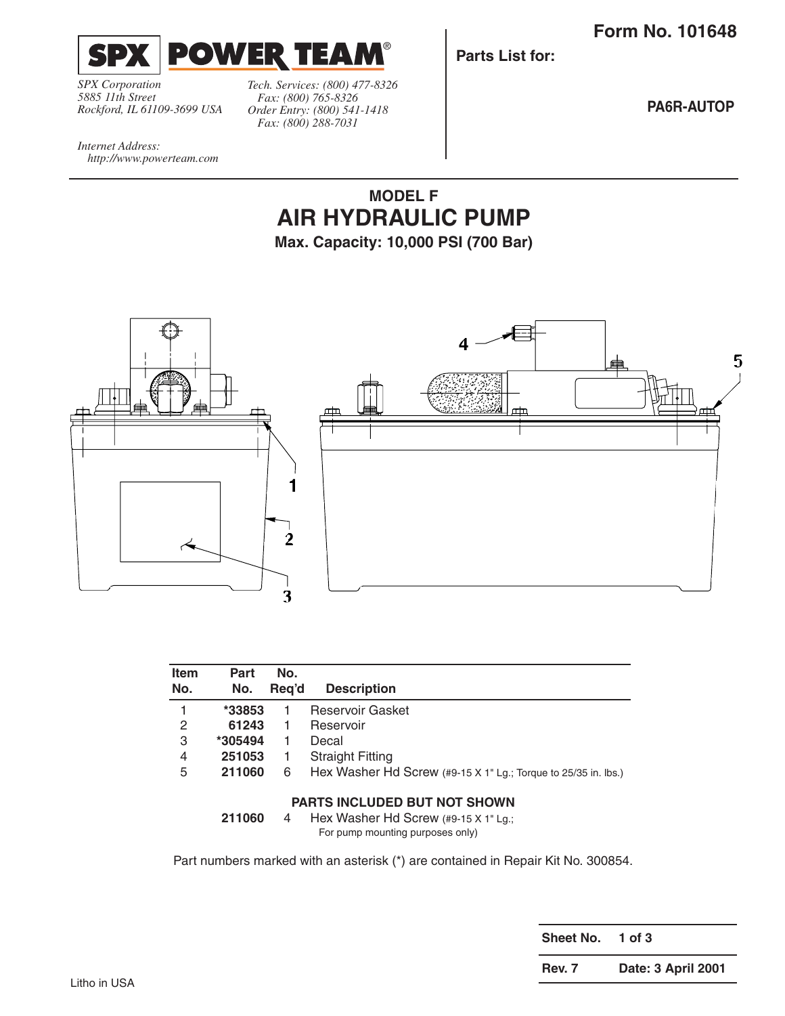**Form No. 101648**



*SPX Corporation 5885 11th Street Rockford, IL 61109-3699 USA*

*http://www.powerteam.com*

*Internet Address:* 

*Tech. Services: (800) 477-8326 Fax: (800) 765-8326 Order Entry: (800) 541-1418 Fax: (800) 288-7031*

**Parts List for:**

**PA6R-AUTOP**

## **MODEL F AIR HYDRAULIC PUMP**

**Max. Capacity: 10,000 PSI (700 Bar)**



| <b>Item</b><br>No.                  | Part<br>No. | No.<br>Reg'd | <b>Description</b>                                             |
|-------------------------------------|-------------|--------------|----------------------------------------------------------------|
|                                     | $*33853$    |              | Reservoir Gasket                                               |
| 2                                   | 61243       | 1            | Reservoir                                                      |
| 3                                   | *305494     | 1            | Decal                                                          |
| 4                                   | 251053      | 1            | <b>Straight Fitting</b>                                        |
| 5                                   | 211060      | 6            | Hex Washer Hd Screw (#9-15 X 1" Lg.; Torque to 25/35 in. lbs.) |
| <b>PARTS INCLUDED BUT NOT SHOWN</b> |             |              |                                                                |

**211060** 4 Hex Washer Hd Screw (#9-15 X 1" Lg.; For pump mounting purposes only)

Part numbers marked with an asterisk (\*) are contained in Repair Kit No. 300854.

**Sheet No. 1 of 3**

**Rev. 7 Date: 3 April 2001**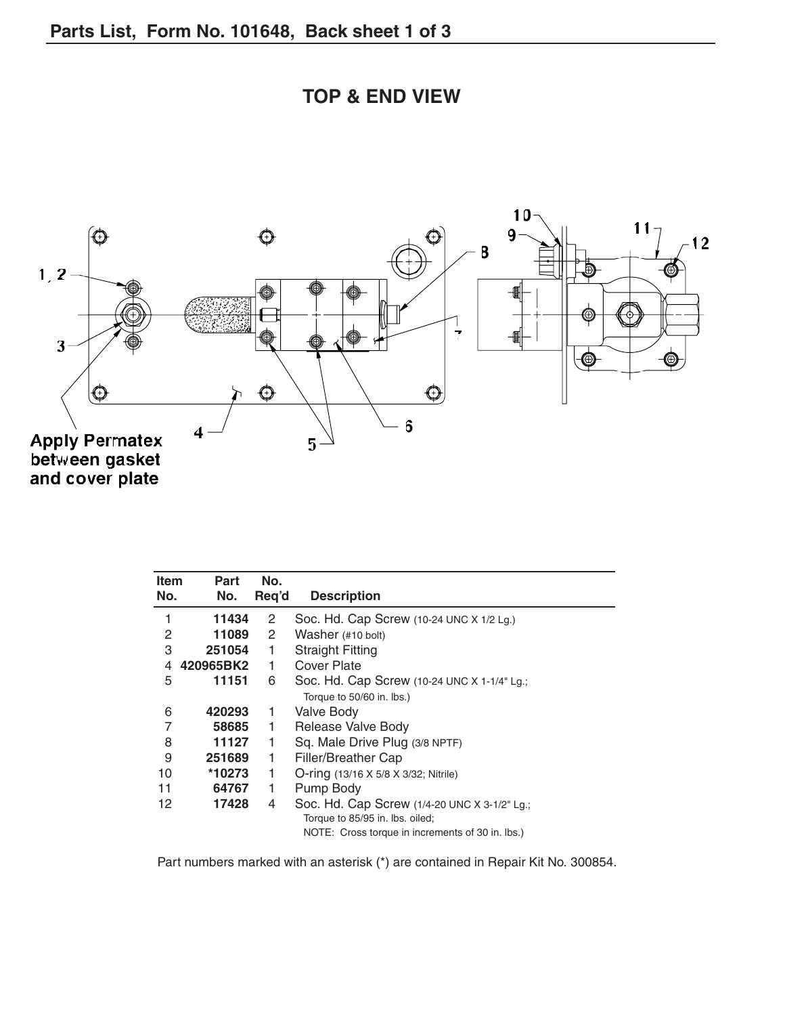

| <b>TOP &amp; END VIEW</b> |  |
|---------------------------|--|
|---------------------------|--|

| <b>Item</b><br>No. | Part<br>No. | No.<br>Req'd          | <b>Description</b>                               |
|--------------------|-------------|-----------------------|--------------------------------------------------|
| 1                  | 11434       | 2                     | Soc. Hd. Cap Screw $(10-24$ UNC X $1/2$ Lg.)     |
| 2                  | 11089       | $\mathbf{2}^{\prime}$ | Washer (#10 bolt)                                |
| 3                  | 251054      | 1                     | <b>Straight Fitting</b>                          |
| 4                  | 420965BK2   | 1                     | Cover Plate                                      |
| 5                  | 11151       | 6                     | Soc. Hd. Cap Screw (10-24 UNC X 1-1/4" Lg.;      |
|                    |             |                       | Torque to 50/60 in. lbs.)                        |
| 6                  | 420293      | 1                     | Valve Body                                       |
| 7                  | 58685       | 1                     | Release Valve Body                               |
| 8                  | 11127       | 1                     | Sq. Male Drive Plug (3/8 NPTF)                   |
| 9                  | 251689      | 1                     | Filler/Breather Cap                              |
| 10                 | *10273      | 1                     | O-ring (13/16 X 5/8 X 3/32; Nitrile)             |
| 11                 | 64767       | 1                     | Pump Body                                        |
| 12                 | 17428       | 4                     | Soc. Hd. Cap Screw (1/4-20 UNC X 3-1/2" Lg.;     |
|                    |             |                       | Torque to 85/95 in. lbs. oiled;                  |
|                    |             |                       | NOTE: Cross torque in increments of 30 in. lbs.) |

Part numbers marked with an asterisk (\*) are contained in Repair Kit No. 300854.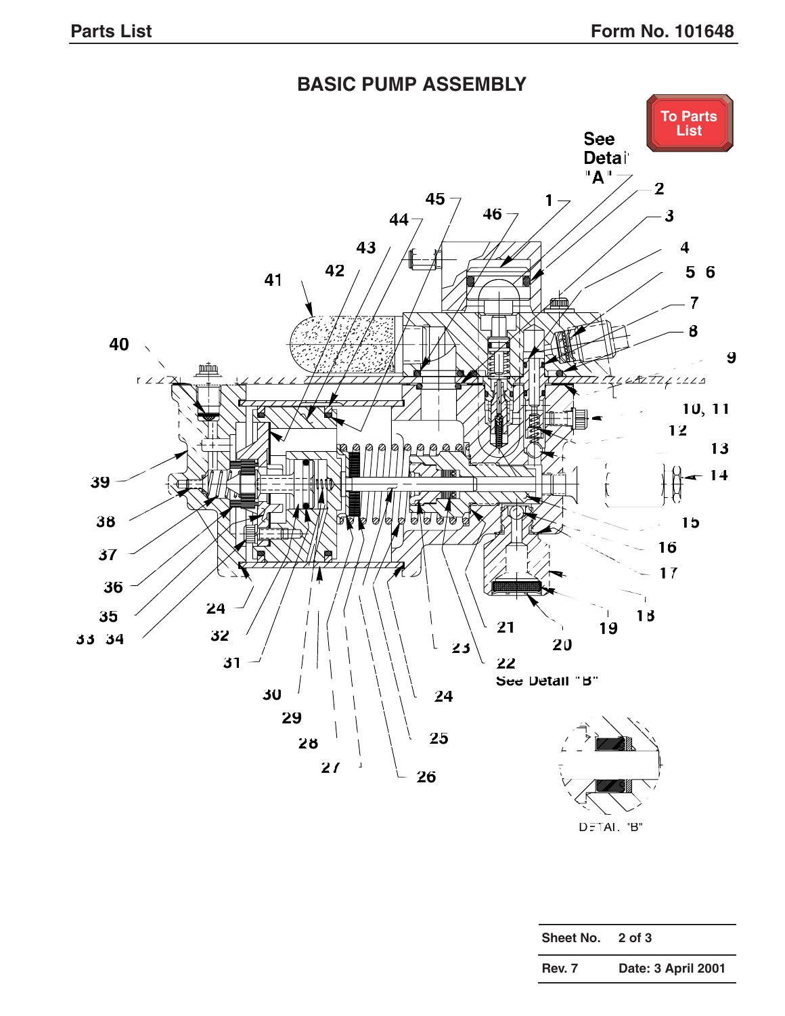<span id="page-2-0"></span>

DETAIL "B"

| Sheet No. | 2 of 3             |
|-----------|--------------------|
| Rev. 7    | Date: 3 April 2001 |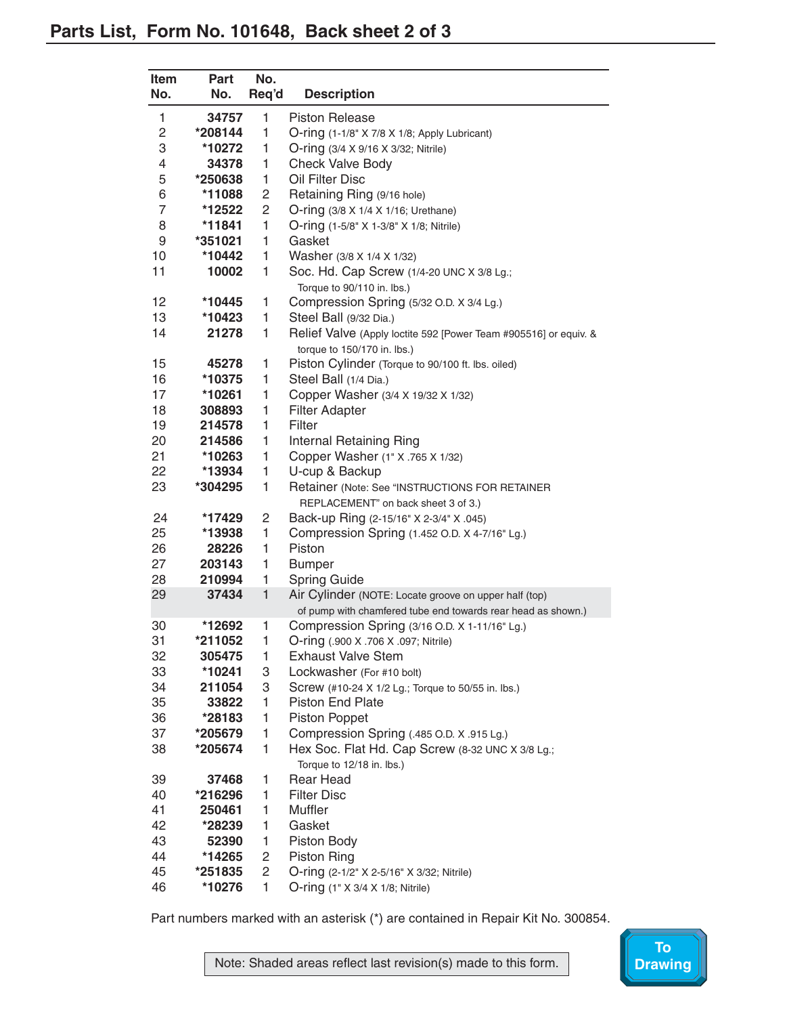<span id="page-3-0"></span>

| Part    | No.                                                                         | <b>Description</b>                                                                                                                                                                                                                                                                                                                                                                                         |
|---------|-----------------------------------------------------------------------------|------------------------------------------------------------------------------------------------------------------------------------------------------------------------------------------------------------------------------------------------------------------------------------------------------------------------------------------------------------------------------------------------------------|
|         |                                                                             |                                                                                                                                                                                                                                                                                                                                                                                                            |
|         |                                                                             | <b>Piston Release</b>                                                                                                                                                                                                                                                                                                                                                                                      |
|         |                                                                             | O-ring (1-1/8" X 7/8 X 1/8; Apply Lubricant)<br>O-ring (3/4 X 9/16 X 3/32; Nitrile)                                                                                                                                                                                                                                                                                                                        |
|         |                                                                             | <b>Check Valve Body</b>                                                                                                                                                                                                                                                                                                                                                                                    |
|         |                                                                             | Oil Filter Disc                                                                                                                                                                                                                                                                                                                                                                                            |
|         |                                                                             | Retaining Ring (9/16 hole)                                                                                                                                                                                                                                                                                                                                                                                 |
|         |                                                                             | O-ring (3/8 X 1/4 X 1/16; Urethane)                                                                                                                                                                                                                                                                                                                                                                        |
|         |                                                                             | O-ring (1-5/8" X 1-3/8" X 1/8; Nitrile)                                                                                                                                                                                                                                                                                                                                                                    |
|         |                                                                             | Gasket                                                                                                                                                                                                                                                                                                                                                                                                     |
|         |                                                                             | Washer (3/8 X 1/4 X 1/32)                                                                                                                                                                                                                                                                                                                                                                                  |
|         |                                                                             | Soc. Hd. Cap Screw (1/4-20 UNC X 3/8 Lg.;                                                                                                                                                                                                                                                                                                                                                                  |
|         |                                                                             | Torque to 90/110 in. lbs.)                                                                                                                                                                                                                                                                                                                                                                                 |
|         |                                                                             | Compression Spring (5/32 O.D. X 3/4 Lg.)                                                                                                                                                                                                                                                                                                                                                                   |
|         |                                                                             | Steel Ball (9/32 Dia.)                                                                                                                                                                                                                                                                                                                                                                                     |
| 21278   |                                                                             | Relief Valve (Apply loctite 592 [Power Team #905516] or equiv. &                                                                                                                                                                                                                                                                                                                                           |
|         |                                                                             | torque to 150/170 in. lbs.)                                                                                                                                                                                                                                                                                                                                                                                |
|         |                                                                             | Piston Cylinder (Torque to 90/100 ft. lbs. oiled)                                                                                                                                                                                                                                                                                                                                                          |
|         | 1                                                                           | Steel Ball (1/4 Dia.)                                                                                                                                                                                                                                                                                                                                                                                      |
| *10261  | 1                                                                           | Copper Washer (3/4 X 19/32 X 1/32)                                                                                                                                                                                                                                                                                                                                                                         |
| 308893  | 1                                                                           | <b>Filter Adapter</b>                                                                                                                                                                                                                                                                                                                                                                                      |
| 214578  | 1                                                                           | Filter                                                                                                                                                                                                                                                                                                                                                                                                     |
| 214586  | 1                                                                           | <b>Internal Retaining Ring</b>                                                                                                                                                                                                                                                                                                                                                                             |
| *10263  | 1                                                                           | Copper Washer (1" X .765 X 1/32)                                                                                                                                                                                                                                                                                                                                                                           |
| *13934  | 1                                                                           | U-cup & Backup                                                                                                                                                                                                                                                                                                                                                                                             |
| *304295 | 1                                                                           | Retainer (Note: See "INSTRUCTIONS FOR RETAINER                                                                                                                                                                                                                                                                                                                                                             |
|         |                                                                             | REPLACEMENT" on back sheet 3 of 3.)                                                                                                                                                                                                                                                                                                                                                                        |
|         | 2                                                                           | Back-up Ring (2-15/16" X 2-3/4" X .045)                                                                                                                                                                                                                                                                                                                                                                    |
| *13938  | 1                                                                           | Compression Spring (1.452 O.D. X 4-7/16" Lg.)                                                                                                                                                                                                                                                                                                                                                              |
| 28226   | 1                                                                           | Piston                                                                                                                                                                                                                                                                                                                                                                                                     |
| 203143  |                                                                             | <b>Bumper</b>                                                                                                                                                                                                                                                                                                                                                                                              |
|         |                                                                             | <b>Spring Guide</b>                                                                                                                                                                                                                                                                                                                                                                                        |
|         |                                                                             | Air Cylinder (NOTE: Locate groove on upper half (top)                                                                                                                                                                                                                                                                                                                                                      |
|         |                                                                             | of pump with chamfered tube end towards rear head as shown.)                                                                                                                                                                                                                                                                                                                                               |
|         |                                                                             | Compression Spring (3/16 O.D. X 1-11/16" Lg.)                                                                                                                                                                                                                                                                                                                                                              |
|         |                                                                             | O-ring (.900 X .706 X .097; Nitrile)                                                                                                                                                                                                                                                                                                                                                                       |
|         |                                                                             | <b>Exhaust Valve Stem</b>                                                                                                                                                                                                                                                                                                                                                                                  |
|         |                                                                             | Lockwasher (For #10 bolt)                                                                                                                                                                                                                                                                                                                                                                                  |
|         |                                                                             | Screw (#10-24 X 1/2 Lg.; Torque to 50/55 in. lbs.)                                                                                                                                                                                                                                                                                                                                                         |
|         |                                                                             | Piston End Plate                                                                                                                                                                                                                                                                                                                                                                                           |
|         |                                                                             | <b>Piston Poppet</b>                                                                                                                                                                                                                                                                                                                                                                                       |
|         |                                                                             | Compression Spring (.485 O.D. X .915 Lg.)                                                                                                                                                                                                                                                                                                                                                                  |
|         |                                                                             | Hex Soc. Flat Hd. Cap Screw (8-32 UNC X 3/8 Lg.;<br>Torque to 12/18 in. lbs.)                                                                                                                                                                                                                                                                                                                              |
|         |                                                                             | <b>Rear Head</b>                                                                                                                                                                                                                                                                                                                                                                                           |
|         | 1                                                                           | <b>Filter Disc</b>                                                                                                                                                                                                                                                                                                                                                                                         |
|         | 1                                                                           | Muffler                                                                                                                                                                                                                                                                                                                                                                                                    |
|         | 1                                                                           | Gasket                                                                                                                                                                                                                                                                                                                                                                                                     |
| 52390   | 1                                                                           | Piston Body                                                                                                                                                                                                                                                                                                                                                                                                |
| *14265  | 2                                                                           | <b>Piston Ring</b>                                                                                                                                                                                                                                                                                                                                                                                         |
| *251835 | 2                                                                           | O-ring (2-1/2" X 2-5/16" X 3/32; Nitrile)                                                                                                                                                                                                                                                                                                                                                                  |
| *10276  | 1                                                                           | O-ring (1" X 3/4 X 1/8; Nitrile)                                                                                                                                                                                                                                                                                                                                                                           |
|         | No.<br>*10272<br>*11841<br>*351021<br>*12692<br>*211052<br>*10241<br>250461 | Req'd<br>34757<br>1<br>1<br>*208144<br>1<br>1<br>34378<br>1<br>*250638<br>2<br>*11088<br>2<br>*12522<br>1<br>1<br>1<br>*10442<br>1<br>10002<br>*10445<br>1<br>1<br>*10423<br>1<br>1<br>45278<br>*10375<br>*17429<br>1<br>1<br>210994<br>$\mathbf{1}$<br>37434<br>1<br>1<br>305475<br>1<br>3<br>3<br>211054<br>1<br>33822<br>1<br>*28183<br>1<br>*205679<br>1<br>*205674<br>37468<br>1<br>*216296<br>*28239 |

Part numbers marked with an asterisk (\*) are contained in Repair Kit No. 300854.

Note: Shaded areas reflect last revision(s) made to this form.

**To**<br>Drawing